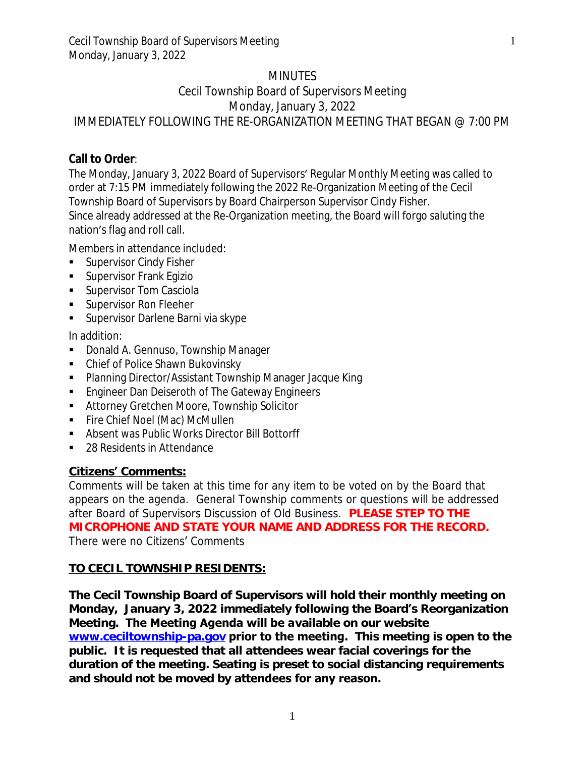### **MINUTES**

# Cecil Township Board of Supervisors Meeting Monday, January 3, 2022 IMMEDIATELY FOLLOWING THE RE-ORGANIZATION MEETING THAT BEGAN @ 7:00 PM

## **Call to Order**:

The Monday, January 3, 2022 Board of Supervisors' Regular Monthly Meeting was called to order at 7:15 PM immediately following the 2022 Re-Organization Meeting of the Cecil Township Board of Supervisors by Board Chairperson Supervisor Cindy Fisher. Since already addressed at the Re-Organization meeting, the Board will forgo saluting the nation's flag and roll call.

Members in attendance included:

- Supervisor Cindy Fisher
- **Supervisor Frank Egizio**
- **Supervisor Tom Casciola**
- **Supervisor Ron Fleeher**
- **Supervisor Darlene Barni via skype**

In addition:

- **-** Donald A. Gennuso, Township Manager
- Chief of Police Shawn Bukovinsky
- Planning Director/Assistant Township Manager Jacque King
- **Engineer Dan Deiseroth of The Gateway Engineers**
- Attorney Gretchen Moore, Township Solicitor
- Fire Chief Noel (Mac) McMullen
- Absent was Public Works Director Bill Bottorff
- 28 Residents in Attendance

## **Citizens' Comments:**

Comments will be taken at this time for any item to be voted on by the Board that appears on the agenda. General Township comments or questions will be addressed after Board of Supervisors Discussion of Old Business. **PLEASE STEP TO THE MICROPHONE AND STATE YOUR NAME AND ADDRESS FOR THE RECORD.** *There were no Citizens*' *Comments*

### **TO CECIL TOWNSHIP RESIDENTS:**

**The Cecil Township Board of Supervisors will hold their monthly meeting on Monday, January 3, 2022 immediately following the Board's Reorganization Meeting. The Meeting Agenda will be available on our website [www.ceciltownship-pa.gov](http://www.ceciltownship-pa.gov) prior to the meeting. This meeting is open to the public. It is requested that all attendees wear facial coverings for the duration of the meeting. Seating is preset to social distancing requirements and should not be moved by attendees for any reason.**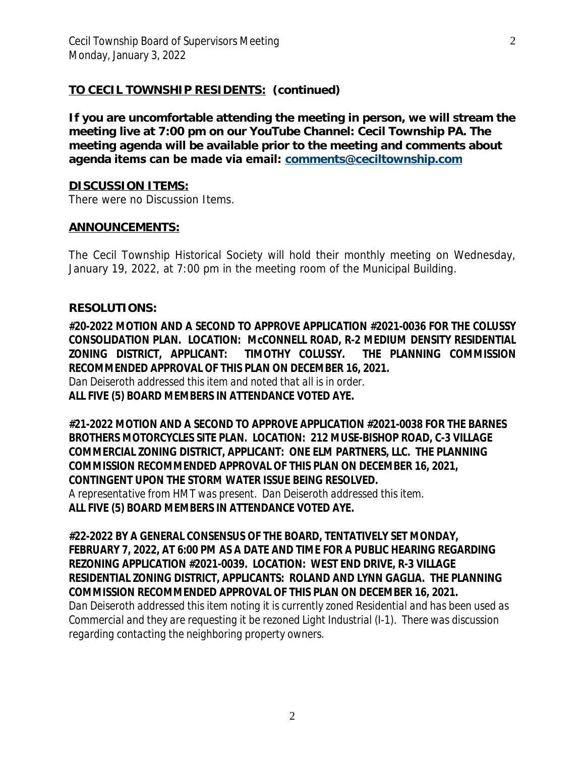### **TO CECIL TOWNSHIP RESIDENTS: (continued)**

**If you are uncomfortable attending the meeting in person, we will stream the meeting live at 7:00 pm on our YouTube Channel: Cecil Township PA. The meeting agenda will be available prior to the meeting and comments about agenda items can be made via email: [comments@ceciltownship.com](mailto:comments@ceciltownship.com)**

#### **[DISCUSSION ITEMS:](mailto:comments@ceciltownship.com)**

*[There](mailto:comments@ceciltownship.com) [were no Discussion Items.](mailto:comments@ceciltownship.com)*

#### **[ANNOUNCEMENTS:](mailto:comments@ceciltownship.com)**

The [Cecil](mailto:comments@ceciltownship.com) [Township](mailto:comments@ceciltownship.com) Historical Society will hold their monthly meeting on [Wednesday,](mailto:comments@ceciltownship.com) [January 19, 2022, at 7:00 pm in the meeting room of the Municipal Building.](mailto:comments@ceciltownship.com)

#### **[RESOLUTIONS:](mailto:comments@ceciltownship.com)**

**[#20-2022](mailto:comments@ceciltownship.com) [MOTION](mailto:comments@ceciltownship.com) AND A SECOND TO APPROVE [APPLICATION](mailto:comments@ceciltownship.com) #[2021-0036](mailto:comments@ceciltownship.com) FOR THE COLUSSY [CONSOLIDATION](mailto:comments@ceciltownship.com) PLAN. LOCATION: McCONNELL ROAD, R[-2](mailto:comments@ceciltownship.com) [MEDIUM](mailto:comments@ceciltownship.com) DENSITY RES[IDENTIAL](mailto:comments@ceciltownship.com) ZONING DISTRICT, [APPLICANT:](mailto:comments@ceciltownship.com) TIMOTHY COLUSSY. THE PLANNING [COMMISSION](mailto:comments@ceciltownship.com) [RECOMMENDED APPROVAL OF THIS PLAN ON DECEMBER 16, 2021.](mailto:comments@ceciltownship.com)**

*[Dan Deiseroth addressed this item and noted that all is in order.](mailto:comments@ceciltownship.com)* **[ALL FIVE \(5\) BOARD MEMBERS IN ATTENDANCE VOTED AYE.](mailto:comments@ceciltownship.com)**

**[#21-2022 MOTION AND A SECOND TO APPROVE APPLICATION #2021-0038 FOR THE BARNES](mailto:comments@ceciltownship.com) [BROTHERS MOTORCYCLES SITE PLAN. LOCATION: 212 MUSE-BISHOP ROAD, C-3 VILLAGE](mailto:comments@ceciltownship.com) [COMMERCIAL ZONING DISTRICT, APPLICANT: ONE ELM PARTNERS, LLC. THE PLANNING](mailto:comments@ceciltownship.com) [COMMISSION RECOMMENDED APPROVAL OF THIS PLAN ON DECEMBER 16, 2021,](mailto:comments@ceciltownship.com) [CONTINGENT UPON THE STORM WATER ISSUE BEING RESOLVED.](mailto:comments@ceciltownship.com)**

*[A representative from HMT was present. Dan Deiseroth addressed this item.](mailto:comments@ceciltownship.com)* **[ALL FIVE \(5\) BOARD MEMBERS IN ATTENDANCE VOTED AYE.](mailto:comments@ceciltownship.com)**

**[#22-2022](mailto:comments@ceciltownship.com) [BY A GENERAL CONSENSUS OF THE BOARD, TENTATIVELY SET MONDAY,](mailto:comments@ceciltownship.com) [FEBRUARY 7, 2022, AT 6:00 PM AS A DATE AND TIME FOR A PUBLIC HEARING REGARDING](mailto:comments@ceciltownship.com) [REZONING APPLICATION #2021-0039. LOCATION: WEST END DRIVE, R-3 VILLAGE](mailto:comments@ceciltownship.com) [RESIDENTIAL ZONING DISTRICT, APPLICANTS: ROLAND AND LYNN GAGLIA. THE PLANNING](mailto:comments@ceciltownship.com) [COMMISSION RECOMMENDED APPROVAL OF THIS PLAN ON DECEMBER 16, 2021.](mailto:comments@ceciltownship.com)**

*[Dan Deiseroth addressed this item noting it is currently zoned Residential and has been used as](mailto:comments@ceciltownship.com) [Commercial](mailto:comments@ceciltownship.com) [and they are requesting it be rezoned Light Industrial \(I-1\). There was discussion](mailto:comments@ceciltownship.com) [regarding contacting the neighboring property owners.](mailto:comments@ceciltownship.com)*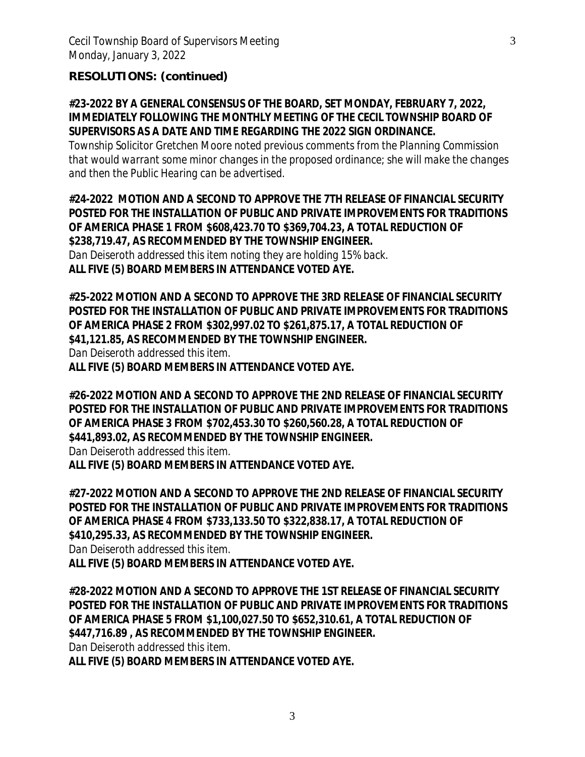### **RESOLUTIONS: (continued)**

**#23-2022 BY A GENERAL CONSENSUS OF THE BOARD, SET MONDAY, FEBRUARY 7, 2022, IMMEDIATELY FOLLOWING THE MONTHLY MEETING OF THE CECIL TOWNSHIP BOARD OF SUPERVISORS AS A DATE AND TIME REGARDING THE 2022 SIGN ORDINANCE.**

*Township Solicitor Gretchen Moore noted previous comments from the Planning Commission that would warrant some minor changes in the proposed ordinance; she will make the changes and then the Public Hearing can be advertised.*

**#24-2022 MOTION AND A SECOND TO APPROVE THE 7TH RELEASE OF FINANCIAL SECURITY POSTED FOR THE INSTALLATION OF PUBLIC AND PRIVATE IMPROVEMENTS FOR TRADITIONS OF AMERICA PHASE 1 FROM \$608,423.70 TO \$369,704.23, A TOTAL REDUCTION OF \$238,719.47, AS RECOMMENDED BY THE TOWNSHIP ENGINEER.**

*Dan Deiseroth addressed this item noting they are holding 15% back.* **ALL FIVE (5) BOARD MEMBERS IN ATTENDANCE VOTED AYE.**

**#25-2022 MOTION AND A SECOND TO APPROVE THE 3RD RELEASE OF FINANCIAL SECURITY POSTED FOR THE INSTALLATION OF PUBLIC AND PRIVATE IMPROVEMENTS FOR TRADITIONS OF AMERICA PHASE 2 FROM \$302,997.02 TO \$261,875.17, A TOTAL REDUCTION OF \$41,121.85, AS RECOMMENDED BY THE TOWNSHIP ENGINEER.** *Dan Deiseroth addressed this item.*

**ALL FIVE (5) BOARD MEMBERS IN ATTENDANCE VOTED AYE.**

**#26-2022 MOTION AND A SECOND TO APPROVE THE 2ND RELEASE OF FINANCIAL SECURITY POSTED FOR THE INSTALLATION OF PUBLIC AND PRIVATE IMPROVEMENTS FOR TRADITIONS OF AMERICA PHASE 3 FROM \$702,453.30 TO \$260,560.28, A TOTAL REDUCTION OF \$441,893.02, AS RECOMMENDED BY THE TOWNSHIP ENGINEER.** *Dan Deiseroth addressed this item.*

**ALL FIVE (5) BOARD MEMBERS IN ATTENDANCE VOTED AYE.**

**#27-2022 MOTION AND A SECOND TO APPROVE THE 2ND RELEASE OF FINANCIAL SECURITY POSTED FOR THE INSTALLATION OF PUBLIC AND PRIVATE IMPROVEMENTS FOR TRADITIONS OF AMERICA PHASE 4 FROM \$733,133.50 TO \$322,838.17, A TOTAL REDUCTION OF \$410,295.33, AS RECOMMENDED BY THE TOWNSHIP ENGINEER.**

*Dan Deiseroth addressed this item.*

**ALL FIVE (5) BOARD MEMBERS IN ATTENDANCE VOTED AYE.**

**#28-2022 MOTION AND A SECOND TO APPROVE THE 1ST RELEASE OF FINANCIAL SECURITY POSTED FOR THE INSTALLATION OF PUBLIC AND PRIVATE IMPROVEMENTS FOR TRADITIONS OF AMERICA PHASE 5 FROM \$1,100,027.50 TO \$652,310.61, A TOTAL REDUCTION OF \$447,716.89 , AS RECOMMENDED BY THE TOWNSHIP ENGINEER.**

*Dan Deiseroth addressed this item.*

**ALL FIVE (5) BOARD MEMBERS IN ATTENDANCE VOTED AYE.**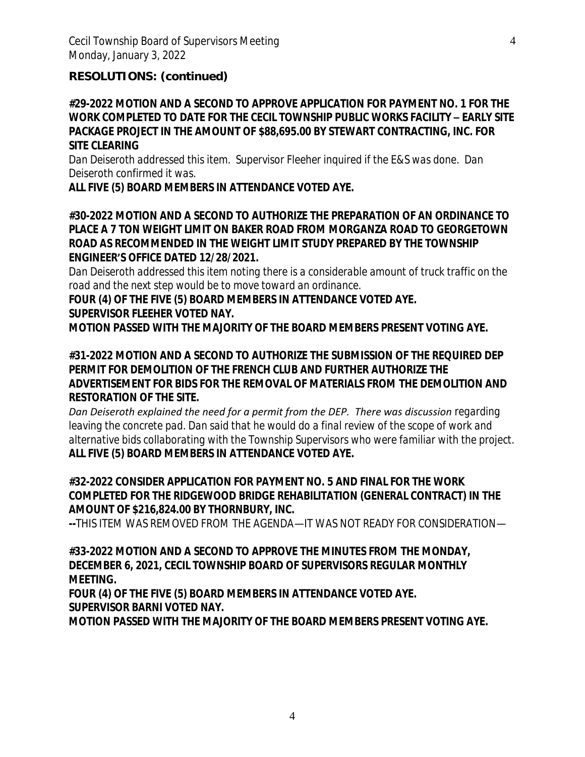#### **RESOLUTIONS: (continued)**

**#29-2022 MOTION AND A SECOND TO APPROVE APPLICATION FOR PAYMENT NO. 1 FOR THE WORK COMPLETED TO DATE FOR THE CECIL TOWNSHIP PUBLIC WORKS FACILITY – EARLY SITE PACKAGE PROJECT IN THE AMOUNT OF \$88,695.00 BY STEWART CONTRACTING, INC. FOR SITE CLEARING**

*Dan Deiseroth addressed this item. Supervisor Fleeher inquired if the E&S was done. Dan Deiseroth confirmed it was.*

**ALL FIVE (5) BOARD MEMBERS IN ATTENDANCE VOTED AYE.**

**#30-2022 MOTION AND A SECOND TO AUTHORIZE THE PREPARATION OF AN ORDINANCE TO PLACE A 7 TON WEIGHT LIMIT ON BAKER ROAD FROM MORGANZA ROAD TO GEORGETOWN ROAD AS RECOMMENDED IN THE WEIGHT LIMIT STUDY PREPARED BY THE TOWNSHIP ENGINEER'S OFFICE DATED 12/28/2021.**

*Dan Deiseroth addressed this item noting there is a considerable amount of truck traffic on the road and the next step would be to move toward an ordinance.*

**FOUR (4) OF THE FIVE (5) BOARD MEMBERS IN ATTENDANCE VOTED AYE. SUPERVISOR FLEEHER VOTED NAY.**

**MOTION PASSED WITH THE MAJORITY OF THE BOARD MEMBERS PRESENT VOTING AYE.**

**#31-2022 MOTION AND A SECOND TO AUTHORIZE THE SUBMISSION OF THE REQUIRED DEP PERMIT FOR DEMOLITION OF THE FRENCH CLUB AND FURTHER AUTHORIZE THE ADVERTISEMENT FOR BIDS FOR THE REMOVAL OF MATERIALS FROM THE DEMOLITION AND RESTORATION OF THE SITE.**

**Dan Deiseroth explained the need for a permit from the DEP. There was discussion regarding** leaving the concrete pad. Dan said that he would do a final review of the scope of work and *alternative bids collaborating with the Township Supervisors who were familiar with the project.* **ALL FIVE (5) BOARD MEMBERS IN ATTENDANCE VOTED AYE.**

**#32-2022 CONSIDER APPLICATION FOR PAYMENT NO. 5 AND FINAL FOR THE WORK COMPLETED FOR THE RIDGEWOOD BRIDGE REHABILITATION (GENERAL CONTRACT) IN THE AMOUNT OF \$216,824.00 BY THORNBURY, INC.**

**--***THIS ITEM WAS REMOVED FROM THE AGENDA—IT WAS NOT READY FOR CONSIDERATION—*

**#33-2022 MOTION AND A SECOND TO APPROVE THE MINUTES FROM THE MONDAY, DECEMBER 6, 2021, CECIL TOWNSHIP BOARD OF SUPERVISORS REGULAR MONTHLY MEETING.**

**FOUR (4) OF THE FIVE (5) BOARD MEMBERS IN ATTENDANCE VOTED AYE. SUPERVISOR BARNI VOTED NAY.**

**MOTION PASSED WITH THE MAJORITY OF THE BOARD MEMBERS PRESENT VOTING AYE.**